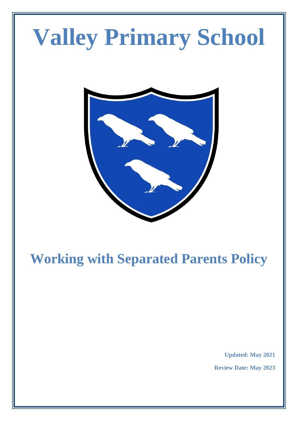# **Valley Primary School**



# **Working with Separated Parents Policy**

**Updated: May 2021 Review Date: May 2023**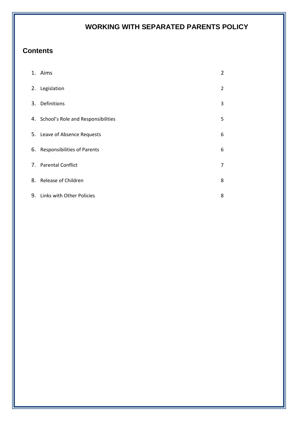## **WORKING WITH SEPARATED PARENTS POLICY**

### **Contents**

|    | 1. Aims                               | 2 |
|----|---------------------------------------|---|
|    | 2. Legislation                        | 2 |
|    | 3. Definitions                        | 3 |
|    | 4. School's Role and Responsibilities | 5 |
|    | 5. Leave of Absence Requests          | 6 |
|    | 6. Responsibilities of Parents        | 6 |
|    | 7. Parental Conflict                  | 7 |
|    | 8. Release of Children                | 8 |
| 9. | Links with Other Policies             | 8 |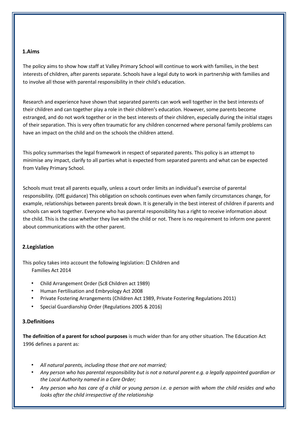#### **1.Aims**

The policy aims to show how staff at Valley Primary School will continue to work with families, in the best interests of children, after parents separate. Schools have a legal duty to work in partnership with families and to involve all those with parental responsibility in their child's education.

Research and experience have shown that separated parents can work well together in the best interests of their children and can together play a role in their children's education. However, some parents become estranged, and do not work together or in the best interests of their children, especially during the initial stages of their separation. This is very often traumatic for any children concerned where personal family problems can have an impact on the child and on the schools the children attend.

This policy summarises the legal framework in respect of separated parents. This policy is an attempt to minimise any impact, clarify to all parties what is expected from separated parents and what can be expected from Valley Primary School.

Schools must treat all parents equally, unless a court order limits an individual's exercise of parental responsibility. (DfE guidance) This obligation on schools continues even when family circumstances change, for example, relationships between parents break down. It is generally in the best interest of children if parents and schools can work together. Everyone who has parental responsibility has a right to receive information about the child. This is the case whether they live with the child or not. There is no requirement to inform one parent about communications with the other parent.

#### **2.Legislation**

This policy takes into account the following legislation:  $\square$  Children and Families Act 2014

- Child Arrangement Order (Sc8 Children act 1989)
- Human Fertilisation and Embryology Act 2008
- Private Fostering Arrangements (Children Act 1989, Private Fostering Regulations 2011)
- Special Guardianship Order (Regulations 2005 & 2016)

#### **3.Definitions**

**The definition of a parent for school purposes** is much wider than for any other situation. The Education Act 1996 defines a parent as:

- *All natural parents, including those that are not married;*
- *Any person who has parental responsibility but is not a natural parent e.g. a legally appointed guardian or the Local Authority named in a Care Order;*
- *Any person who has care of a child or young person i.e. a person with whom the child resides and who looks after the child irrespective of the relationship*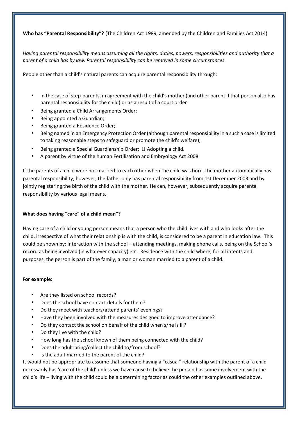**Who has "Parental Responsibility"?** (The Children Act 1989, amended by the Children and Families Act 2014)

*Having parental responsibility means assuming all the rights, duties, powers, responsibilities and authority that a parent of a child has by law. Parental responsibility can be removed in some circumstances.* 

People other than a child's natural parents can acquire parental responsibility through:

- In the case of step-parents, in agreement with the child's mother (and other parent if that person also has parental responsibility for the child) or as a result of a court order
- Being granted a Child Arrangements Order;
- Being appointed a Guardian;
- Being granted a Residence Order;
- Being named in an Emergency Protection Order (although parental responsibility in a such a case is limited to taking reasonable steps to safeguard or promote the child's welfare);
- Being granted a Special Guardianship Order;  $\Box$  Adopting a child.
- A parent by virtue of the human Fertilisation and Embryology Act 2008

If the parents of a child were not married to each other when the child was born, the mother automatically has parental responsibility; however, the father only has parental responsibility from 1st December 2003 and by jointly registering the birth of the child with the mother. He can, however, subsequently acquire parental responsibility by various legal means**.** 

#### **What does having "care" of a child mean"?**

Having care of a child or young person means that a person who the child lives with and who looks after the child, irrespective of what their relationship is with the child, is considered to be a parent in education law. This could be shown by: Interaction with the school – attending meetings, making phone calls, being on the School's record as being involved (in whatever capacity) etc. Residence with the child where, for all intents and purposes, the person is part of the family, a man or woman married to a parent of a child.

#### **For example:**

- Are they listed on school records?
- Does the school have contact details for them?
- Do they meet with teachers/attend parents' evenings?
- Have they been involved with the measures designed to improve attendance?
- Do they contact the school on behalf of the child when s/he is ill?
- Do they live with the child?
- How long has the school known of them being connected with the child?
- Does the adult bring/collect the child to/from school?
- Is the adult married to the parent of the child?

It would not be appropriate to assume that someone having a "casual" relationship with the parent of a child necessarily has 'care of the child' unless we have cause to believe the person has some involvement with the child's life – living with the child could be a determining factor as could the other examples outlined above.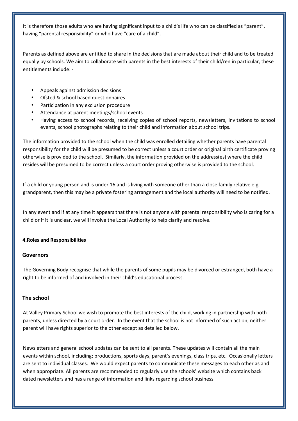It is therefore those adults who are having significant input to a child's life who can be classified as "parent", having "parental responsibility" or who have "care of a child".

Parents as defined above are entitled to share in the decisions that are made about their child and to be treated equally by schools. We aim to collaborate with parents in the best interests of their child/ren in particular, these entitlements include: -

- Appeals against admission decisions
- Ofsted & school based questionnaires
- Participation in any exclusion procedure
- Attendance at parent meetings/school events
- Having access to school records, receiving copies of school reports, newsletters, invitations to school events, school photographs relating to their child and information about school trips.

The information provided to the school when the child was enrolled detailing whether parents have parental responsibility for the child will be presumed to be correct unless a court order or original birth certificate proving otherwise is provided to the school. Similarly, the information provided on the address(es) where the child resides will be presumed to be correct unless a court order proving otherwise is provided to the school.

If a child or young person and is under 16 and is living with someone other than a close family relative e.g. grandparent, then this may be a private fostering arrangement and the local authority will need to be notified.

In any event and if at any time it appears that there is not anyone with parental responsibility who is caring for a child or if it is unclear, we will involve the Local Authority to help clarify and resolve.

#### **4.Roles and Responsibilities**

#### **Governors**

The Governing Body recognise that while the parents of some pupils may be divorced or estranged, both have a right to be informed of and involved in their child's educational process.

#### **The school**

At Valley Primary School we wish to promote the best interests of the child, working in partnership with both parents, unless directed by a court order. In the event that the school is not informed of such action, neither parent will have rights superior to the other except as detailed below.

Newsletters and general school updates can be sent to all parents. These updates will contain all the main events within school, including; productions, sports days, parent's evenings, class trips, etc. Occasionally letters are sent to individual classes. We would expect parents to communicate these messages to each other as and when appropriate. All parents are recommended to regularly use the schools' website which contains back dated newsletters and has a range of information and links regarding school business.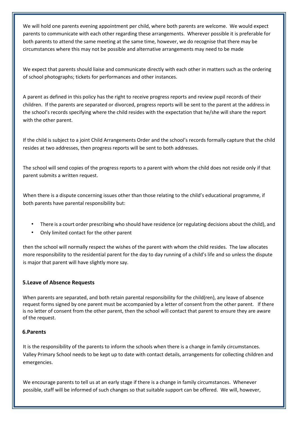We will hold one parents evening appointment per child, where both parents are welcome. We would expect parents to communicate with each other regarding these arrangements. Wherever possible it is preferable for both parents to attend the same meeting at the same time, however, we do recognise that there may be circumstances where this may not be possible and alternative arrangements may need to be made

We expect that parents should liaise and communicate directly with each other in matters such as the ordering of school photographs; tickets for performances and other instances.

A parent as defined in this policy has the right to receive progress reports and review pupil records of their children. If the parents are separated or divorced, progress reports will be sent to the parent at the address in the school's records specifying where the child resides with the expectation that he/she will share the report with the other parent.

If the child is subject to a joint Child Arrangements Order and the school's records formally capture that the child resides at two addresses, then progress reports will be sent to both addresses.

The school will send copies of the progress reports to a parent with whom the child does not reside only if that parent submits a written request.

When there is a dispute concerning issues other than those relating to the child's educational programme, if both parents have parental responsibility but:

- There is a court order prescribing who should have residence (or regulating decisions about the child), and
- Only limited contact for the other parent

then the school will normally respect the wishes of the parent with whom the child resides. The law allocates more responsibility to the residential parent for the day to day running of a child's life and so unless the dispute is major that parent will have slightly more say.

#### **5.Leave of Absence Requests**

When parents are separated, and both retain parental responsibility for the child(ren), any leave of absence request forms signed by one parent must be accompanied by a letter of consent from the other parent. If there is no letter of consent from the other parent, then the school will contact that parent to ensure they are aware of the request.

#### **6.Parents**

It is the responsibility of the parents to inform the schools when there is a change in family circumstances. Valley Primary School needs to be kept up to date with contact details, arrangements for collecting children and emergencies.

We encourage parents to tell us at an early stage if there is a change in family circumstances. Whenever possible, staff will be informed of such changes so that suitable support can be offered. We will, however,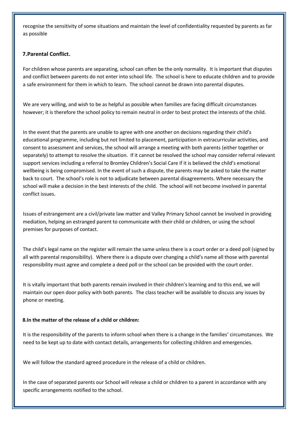recognise the sensitivity of some situations and maintain the level of confidentiality requested by parents as far as possible

#### **7.Parental Conflict.**

For children whose parents are separating, school can often be the only normality. It is important that disputes and conflict between parents do not enter into school life. The school is here to educate children and to provide a safe environment for them in which to learn. The school cannot be drawn into parental disputes.

We are very willing, and wish to be as helpful as possible when families are facing difficult circumstances however; it is therefore the school policy to remain neutral in order to best protect the interests of the child.

In the event that the parents are unable to agree with one another on decisions regarding their child's educational programme, including but not limited to placement, participation in extracurricular activities, and consent to assessment and services, the school will arrange a meeting with both parents (either together or separately) to attempt to resolve the situation. If it cannot be resolved the school may consider referral relevant support services including a referral to Bromley Children's Social Care if it is believed the child's emotional wellbeing is being compromised. In the event of such a dispute, the parents may be asked to take the matter back to court. The school's role is not to adjudicate between parental disagreements. Where necessary the school will make a decision in the best interests of the child. The school will not become involved in parental conflict issues.

Issues of estrangement are a civil/private law matter and Valley Primary School cannot be involved in providing mediation, helping an estranged parent to communicate with their child or children, or using the school premises for purposes of contact.

The child's legal name on the register will remain the same unless there is a court order or a deed poll (signed by all with parental responsibility). Where there is a dispute over changing a child's name all those with parental responsibility must agree and complete a deed poll or the school can be provided with the court order.

It is vitally important that both parents remain involved in their children's learning and to this end, we will maintain our open door policy with both parents. The class teacher will be available to discuss any issues by phone or meeting.

#### **8.In the matter of the release of a child or children:**

It is the responsibility of the parents to inform school when there is a change in the families' circumstances. We need to be kept up to date with contact details, arrangements for collecting children and emergencies.

We will follow the standard agreed procedure in the release of a child or children.

In the case of separated parents our School will release a child or children to a parent in accordance with any specific arrangements notified to the school.